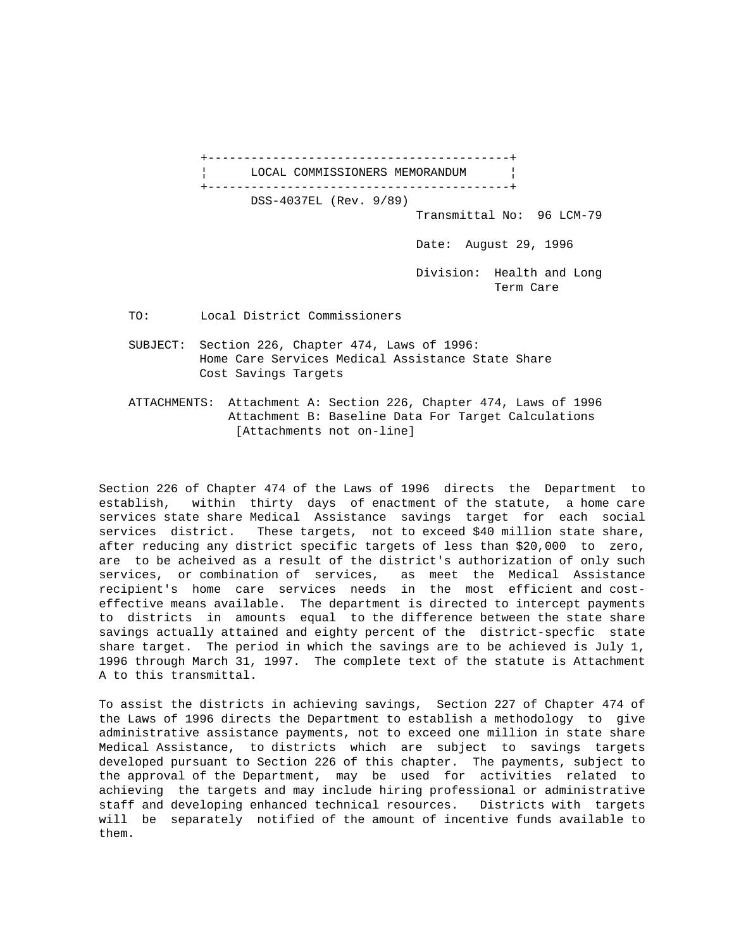+------------------------------------------+ LOCAL COMMISSIONERS MEMORANDUM +------------------------------------------+ DSS-4037EL (Rev. 9/89) Transmittal No: 96 LCM-79 Date: August 29, 1996 Division: Health and Long Term Care TO: Local District Commissioners SUBJECT: Section 226, Chapter 474, Laws of 1996: Home Care Services Medical Assistance State Share Cost Savings Targets

 ATTACHMENTS: Attachment A: Section 226, Chapter 474, Laws of 1996 Attachment B: Baseline Data For Target Calculations [Attachments not on-line]

Section 226 of Chapter 474 of the Laws of 1996 directs the Department to establish, within thirty days of enactment of the statute, a home care services state share Medical Assistance savings target for each social services district. These targets, not to exceed \$40 million state share, after reducing any district specific targets of less than \$20,000 to zero, are to be acheived as a result of the district's authorization of only such services, or combination of services, as meet the Medical Assistance recipient's home care services needs in the most efficient and costeffective means available. The department is directed to intercept payments to districts in amounts equal to the difference between the state share savings actually attained and eighty percent of the district-specfic state share target. The period in which the savings are to be achieved is July 1, 1996 through March 31, 1997. The complete text of the statute is Attachment A to this transmittal.

To assist the districts in achieving savings, Section 227 of Chapter 474 of the Laws of 1996 directs the Department to establish a methodology to give administrative assistance payments, not to exceed one million in state share Medical Assistance, to districts which are subject to savings targets developed pursuant to Section 226 of this chapter. The payments, subject to the approval of the Department, may be used for activities related to achieving the targets and may include hiring professional or administrative staff and developing enhanced technical resources. Districts with targets will be separately notified of the amount of incentive funds available to them.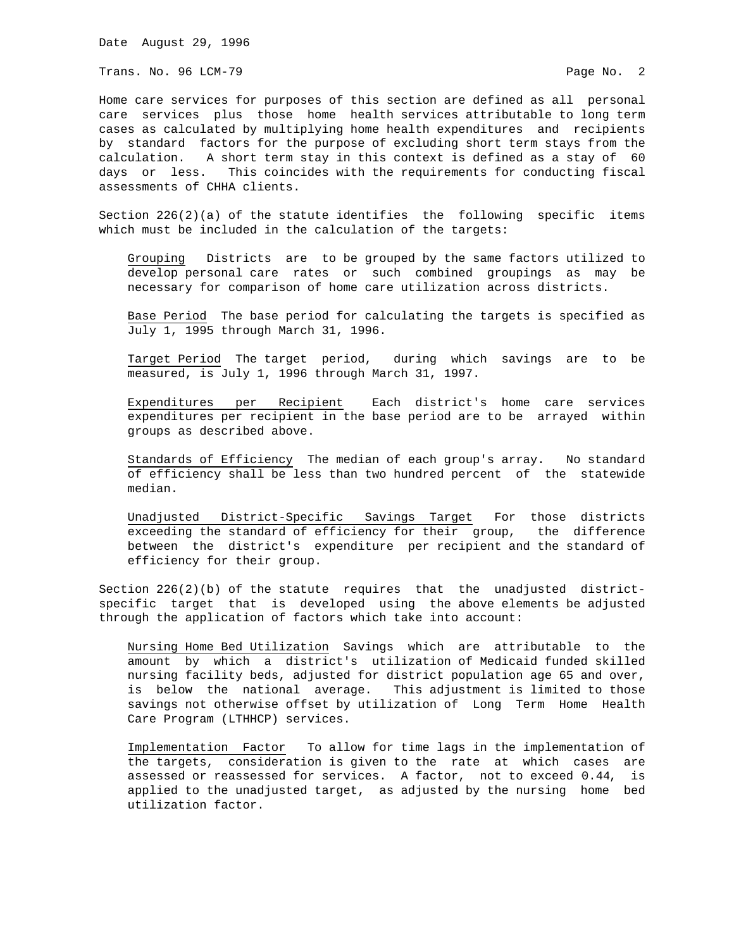Trans. No. 96 LCM-79 Page No. 2

Home care services for purposes of this section are defined as all personal care services plus those home health services attributable to long term cases as calculated by multiplying home health expenditures and recipients by standard factors for the purpose of excluding short term stays from the calculation. A short term stay in this context is defined as a stay of 60 days or less. This coincides with the requirements for conducting fiscal assessments of CHHA clients.

Section 226(2)(a) of the statute identifies the following specific items which must be included in the calculation of the targets:

 Grouping Districts are to be grouped by the same factors utilized to develop personal care rates or such combined groupings as may be necessary for comparison of home care utilization across districts.

 Base Period The base period for calculating the targets is specified as July 1, 1995 through March 31, 1996.

 Target Period The target period, during which savings are to be measured, is July 1, 1996 through March 31, 1997.

 Expenditures per Recipient Each district's home care services expenditures per recipient in the base period are to be arrayed within groups as described above.

 Standards of Efficiency The median of each group's array. No standard of efficiency shall be less than two hundred percent of the statewide median.

 Unadjusted District-Specific Savings Target For those districts exceeding the standard of efficiency for their group, the difference between the district's expenditure per recipient and the standard of efficiency for their group.

Section 226(2)(b) of the statute requires that the unadjusted districtspecific target that is developed using the above elements be adjusted through the application of factors which take into account:

 Nursing Home Bed Utilization Savings which are attributable to the amount by which a district's utilization of Medicaid funded skilled nursing facility beds, adjusted for district population age 65 and over, is below the national average. This adjustment is limited to those savings not otherwise offset by utilization of Long Term Home Health Care Program (LTHHCP) services.

 Implementation Factor To allow for time lags in the implementation of the targets, consideration is given to the rate at which cases are assessed or reassessed for services. A factor, not to exceed 0.44, is applied to the unadjusted target, as adjusted by the nursing home bed utilization factor.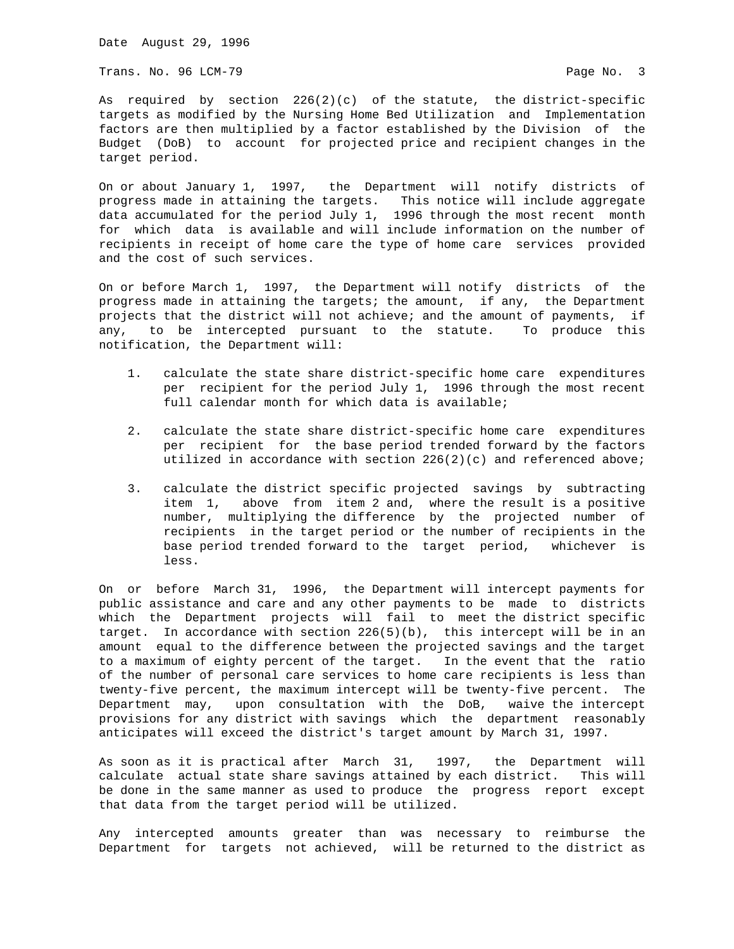Trans. No. 96 LCM-79 **Page No. 3** 

As required by section  $226(2)(c)$  of the statute, the district-specific targets as modified by the Nursing Home Bed Utilization and Implementation factors are then multiplied by a factor established by the Division of the Budget (DoB) to account for projected price and recipient changes in the target period.

On or about January 1, 1997, the Department will notify districts of progress made in attaining the targets. This notice will include aggregate data accumulated for the period July 1, 1996 through the most recent month for which data is available and will include information on the number of recipients in receipt of home care the type of home care services provided and the cost of such services.

On or before March 1, 1997, the Department will notify districts of the progress made in attaining the targets; the amount, if any, the Department projects that the district will not achieve; and the amount of payments, if any, to be intercepted pursuant to the statute. To produce this notification, the Department will:

- 1. calculate the state share district-specific home care expenditures per recipient for the period July 1, 1996 through the most recent full calendar month for which data is available;
- 2. calculate the state share district-specific home care expenditures per recipient for the base period trended forward by the factors utilized in accordance with section  $226(2)(c)$  and referenced above;
- 3. calculate the district specific projected savings by subtracting item 1, above from item 2 and, where the result is a positive number, multiplying the difference by the projected number of recipients in the target period or the number of recipients in the base period trended forward to the target period, whichever is less.

On or before March 31, 1996, the Department will intercept payments for public assistance and care and any other payments to be made to districts which the Department projects will fail to meet the district specific target. In accordance with section 226(5)(b), this intercept will be in an amount equal to the difference between the projected savings and the target to a maximum of eighty percent of the target. In the event that the ratio of the number of personal care services to home care recipients is less than twenty-five percent, the maximum intercept will be twenty-five percent. The Department may, upon consultation with the DoB, waive the intercept provisions for any district with savings which the department reasonably anticipates will exceed the district's target amount by March 31, 1997.

As soon as it is practical after March 31, 1997, the Department will calculate actual state share savings attained by each district. This will be done in the same manner as used to produce the progress report except that data from the target period will be utilized.

Any intercepted amounts greater than was necessary to reimburse the Department for targets not achieved, will be returned to the district as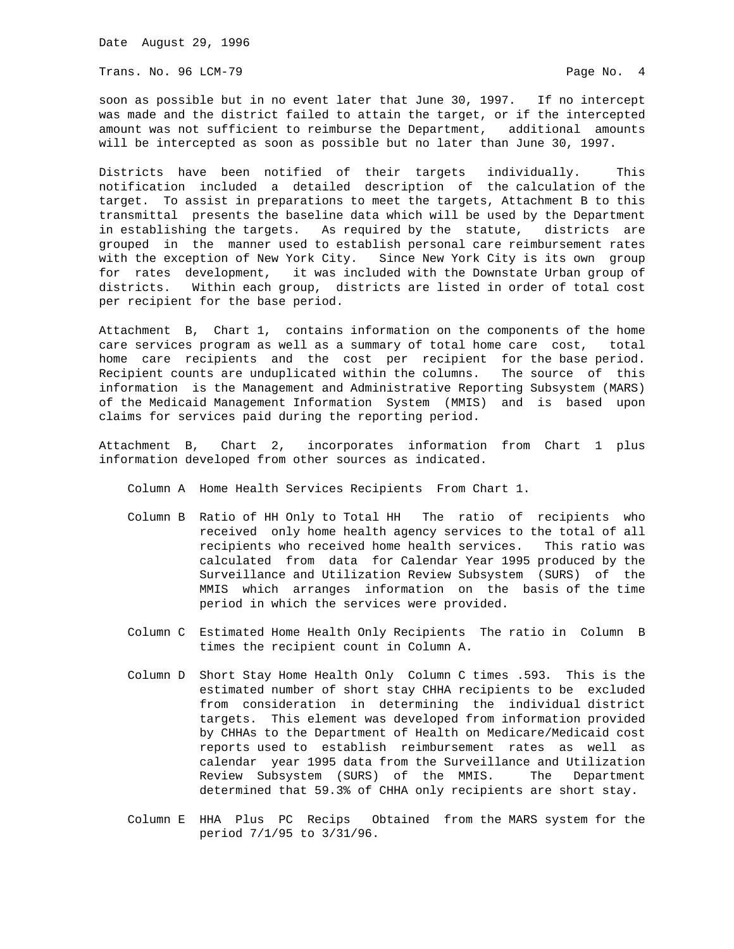Trans. No. 96 LCM-79 Page No. 4

soon as possible but in no event later that June 30, 1997. If no intercept was made and the district failed to attain the target, or if the intercepted amount was not sufficient to reimburse the Department, additional amounts will be intercepted as soon as possible but no later than June 30, 1997.

Districts have been notified of their targets individually. This notification included a detailed description of the calculation of the target. To assist in preparations to meet the targets, Attachment B to this transmittal presents the baseline data which will be used by the Department in establishing the targets. As required by the statute, districts are grouped in the manner used to establish personal care reimbursement rates with the exception of New York City. Since New York City is its own group for rates development, it was included with the Downstate Urban group of districts. Within each group, districts are listed in order of total cost per recipient for the base period.

Attachment B, Chart 1, contains information on the components of the home care services program as well as a summary of total home care cost, total home care recipients and the cost per recipient for the base period. Recipient counts are unduplicated within the columns. The source of this information is the Management and Administrative Reporting Subsystem (MARS) of the Medicaid Management Information System (MMIS) and is based upon claims for services paid during the reporting period.

Attachment B, Chart 2, incorporates information from Chart 1 plus information developed from other sources as indicated.

Column A Home Health Services Recipients From Chart 1.

- Column B Ratio of HH Only to Total HH The ratio of recipients who received only home health agency services to the total of all recipients who received home health services. This ratio was calculated from data for Calendar Year 1995 produced by the Surveillance and Utilization Review Subsystem (SURS) of the MMIS which arranges information on the basis of the time period in which the services were provided.
- Column C Estimated Home Health Only Recipients The ratio in Column B times the recipient count in Column A.
- Column D Short Stay Home Health Only Column C times .593. This is the estimated number of short stay CHHA recipients to be excluded from consideration in determining the individual district targets. This element was developed from information provided by CHHAs to the Department of Health on Medicare/Medicaid cost reports used to establish reimbursement rates as well as calendar year 1995 data from the Surveillance and Utilization Review Subsystem (SURS) of the MMIS. The Department determined that 59.3% of CHHA only recipients are short stay.
- Column E HHA Plus PC Recips Obtained from the MARS system for the period 7/1/95 to 3/31/96.